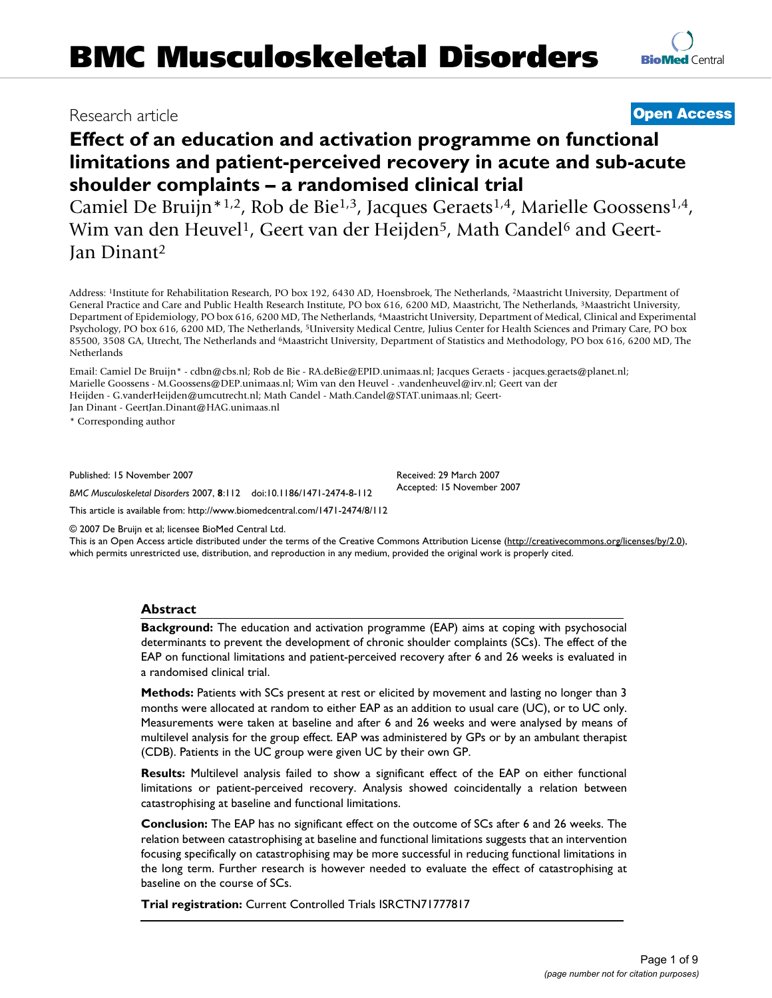# Research article **[Open Access](http://www.biomedcentral.com/info/about/charter/)**

# **Effect of an education and activation programme on functional limitations and patient-perceived recovery in acute and sub-acute shoulder complaints – a randomised clinical trial**

Camiel De Bruijn\*<sup>1,2</sup>, Rob de Bie<sup>1,3</sup>, Jacques Geraets<sup>1,4</sup>, Marielle Goossens<sup>1,4</sup>, Wim van den Heuvel<sup>1</sup>, Geert van der Heijden<sup>5</sup>, Math Candel<sup>6</sup> and Geert-Jan Dinant2

Address: 1Institute for Rehabilitation Research, PO box 192, 6430 AD, Hoensbroek, The Netherlands, 2Maastricht University, Department of General Practice and Care and Public Health Research Institute, PO box 616, 6200 MD, Maastricht, The Netherlands, 3Maastricht University, Department of Epidemiology, PO box 616, 6200 MD, The Netherlands, 4Maastricht University, Department of Medical, Clinical and Experimental Psychology, PO box 616, 6200 MD, The Netherlands, 5University Medical Centre, Julius Center for Health Sciences and Primary Care, PO box 85500, 3508 GA, Utrecht, The Netherlands and 6Maastricht University, Department of Statistics and Methodology, PO box 616, 6200 MD, The Netherlands

Email: Camiel De Bruijn\* - cdbn@cbs.nl; Rob de Bie - RA.deBie@EPID.unimaas.nl; Jacques Geraets - jacques.geraets@planet.nl; Marielle Goossens - M.Goossens@DEP.unimaas.nl; Wim van den Heuvel - .vandenheuvel@irv.nl; Geert van der Heijden - G.vanderHeijden@umcutrecht.nl; Math Candel - Math.Candel@STAT.unimaas.nl; Geert-Jan Dinant - GeertJan.Dinant@HAG.unimaas.nl

\* Corresponding author

Published: 15 November 2007

*BMC Musculoskeletal Disorders* 2007, **8**:112 doi:10.1186/1471-2474-8-112

[This article is available from: http://www.biomedcentral.com/1471-2474/8/112](http://www.biomedcentral.com/1471-2474/8/112)

© 2007 De Bruijn et al; licensee BioMed Central Ltd.

This is an Open Access article distributed under the terms of the Creative Commons Attribution License [\(http://creativecommons.org/licenses/by/2.0\)](http://creativecommons.org/licenses/by/2.0), which permits unrestricted use, distribution, and reproduction in any medium, provided the original work is properly cited.

Received: 29 March 2007 Accepted: 15 November 2007

### **Abstract**

**Background:** The education and activation programme (EAP) aims at coping with psychosocial determinants to prevent the development of chronic shoulder complaints (SCs). The effect of the EAP on functional limitations and patient-perceived recovery after 6 and 26 weeks is evaluated in a randomised clinical trial.

**Methods:** Patients with SCs present at rest or elicited by movement and lasting no longer than 3 months were allocated at random to either EAP as an addition to usual care (UC), or to UC only. Measurements were taken at baseline and after 6 and 26 weeks and were analysed by means of multilevel analysis for the group effect. EAP was administered by GPs or by an ambulant therapist (CDB). Patients in the UC group were given UC by their own GP.

**Results:** Multilevel analysis failed to show a significant effect of the EAP on either functional limitations or patient-perceived recovery. Analysis showed coincidentally a relation between catastrophising at baseline and functional limitations.

**Conclusion:** The EAP has no significant effect on the outcome of SCs after 6 and 26 weeks. The relation between catastrophising at baseline and functional limitations suggests that an intervention focusing specifically on catastrophising may be more successful in reducing functional limitations in the long term. Further research is however needed to evaluate the effect of catastrophising at baseline on the course of SCs.

**Trial registration:** Current Controlled Trials ISRCTN71777817

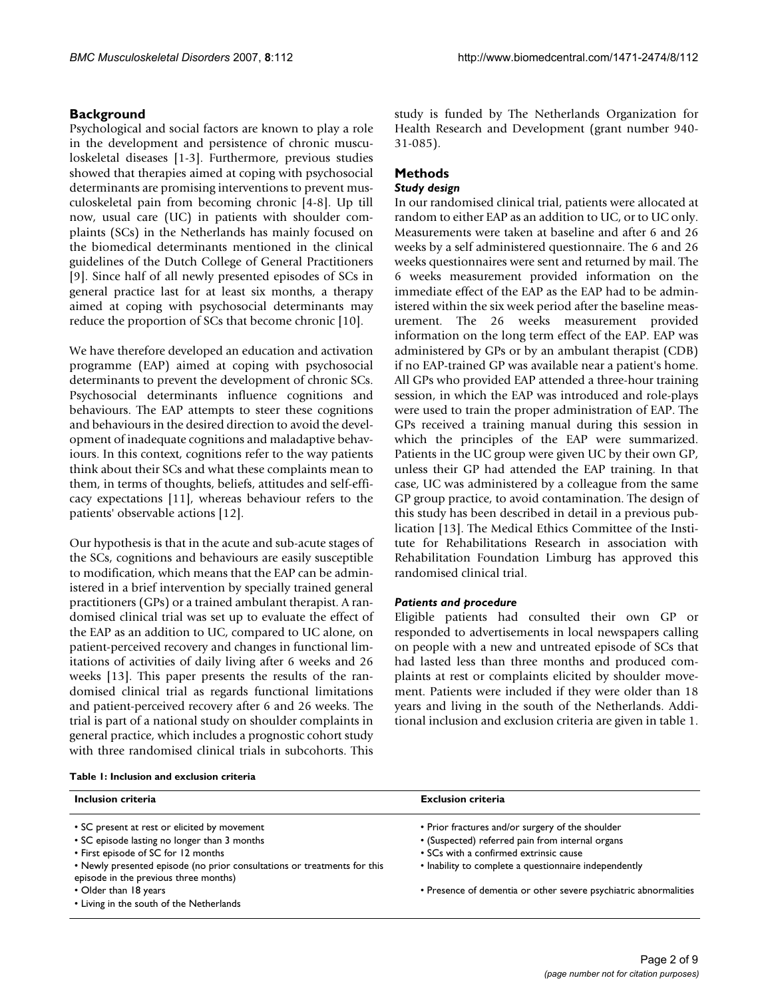### **Background**

Psychological and social factors are known to play a role in the development and persistence of chronic musculoskeletal diseases [1-3]. Furthermore, previous studies showed that therapies aimed at coping with psychosocial determinants are promising interventions to prevent musculoskeletal pain from becoming chronic [4-8]. Up till now, usual care (UC) in patients with shoulder complaints (SCs) in the Netherlands has mainly focused on the biomedical determinants mentioned in the clinical guidelines of the Dutch College of General Practitioners [9]. Since half of all newly presented episodes of SCs in general practice last for at least six months, a therapy aimed at coping with psychosocial determinants may reduce the proportion of SCs that become chronic [10].

We have therefore developed an education and activation programme (EAP) aimed at coping with psychosocial determinants to prevent the development of chronic SCs. Psychosocial determinants influence cognitions and behaviours. The EAP attempts to steer these cognitions and behaviours in the desired direction to avoid the development of inadequate cognitions and maladaptive behaviours. In this context, cognitions refer to the way patients think about their SCs and what these complaints mean to them, in terms of thoughts, beliefs, attitudes and self-efficacy expectations [11], whereas behaviour refers to the patients' observable actions [12].

Our hypothesis is that in the acute and sub-acute stages of the SCs, cognitions and behaviours are easily susceptible to modification, which means that the EAP can be administered in a brief intervention by specially trained general practitioners (GPs) or a trained ambulant therapist. A randomised clinical trial was set up to evaluate the effect of the EAP as an addition to UC, compared to UC alone, on patient-perceived recovery and changes in functional limitations of activities of daily living after 6 weeks and 26 weeks [13]. This paper presents the results of the randomised clinical trial as regards functional limitations and patient-perceived recovery after 6 and 26 weeks. The trial is part of a national study on shoulder complaints in general practice, which includes a prognostic cohort study with three randomised clinical trials in subcohorts. This study is funded by The Netherlands Organization for Health Research and Development (grant number 940- 31-085).

### **Methods**

### *Study design*

In our randomised clinical trial, patients were allocated at random to either EAP as an addition to UC, or to UC only. Measurements were taken at baseline and after 6 and 26 weeks by a self administered questionnaire. The 6 and 26 weeks questionnaires were sent and returned by mail. The 6 weeks measurement provided information on the immediate effect of the EAP as the EAP had to be administered within the six week period after the baseline measurement. The 26 weeks measurement provided information on the long term effect of the EAP. EAP was administered by GPs or by an ambulant therapist (CDB) if no EAP-trained GP was available near a patient's home. All GPs who provided EAP attended a three-hour training session, in which the EAP was introduced and role-plays were used to train the proper administration of EAP. The GPs received a training manual during this session in which the principles of the EAP were summarized. Patients in the UC group were given UC by their own GP, unless their GP had attended the EAP training. In that case, UC was administered by a colleague from the same GP group practice, to avoid contamination. The design of this study has been described in detail in a previous publication [13]. The Medical Ethics Committee of the Institute for Rehabilitations Research in association with Rehabilitation Foundation Limburg has approved this randomised clinical trial.

### *Patients and procedure*

Eligible patients had consulted their own GP or responded to advertisements in local newspapers calling on people with a new and untreated episode of SCs that had lasted less than three months and produced complaints at rest or complaints elicited by shoulder movement. Patients were included if they were older than 18 years and living in the south of the Netherlands. Additional inclusion and exclusion criteria are given in table 1.

#### **Table 1: Inclusion and exclusion criteria**

| Inclusion criteria                                                                                                | <b>Exclusion criteria</b>                                        |
|-------------------------------------------------------------------------------------------------------------------|------------------------------------------------------------------|
|                                                                                                                   |                                                                  |
| • SC present at rest or elicited by movement                                                                      | • Prior fractures and/or surgery of the shoulder                 |
| • SC episode lasting no longer than 3 months                                                                      | • (Suspected) referred pain from internal organs                 |
| • First episode of SC for 12 months                                                                               | • SCs with a confirmed extrinsic cause                           |
| • Newly presented episode (no prior consultations or treatments for this<br>episode in the previous three months) | • Inability to complete a questionnaire independently            |
| • Older than 18 years                                                                                             | • Presence of dementia or other severe psychiatric abnormalities |
| • Living in the south of the Netherlands                                                                          |                                                                  |
|                                                                                                                   |                                                                  |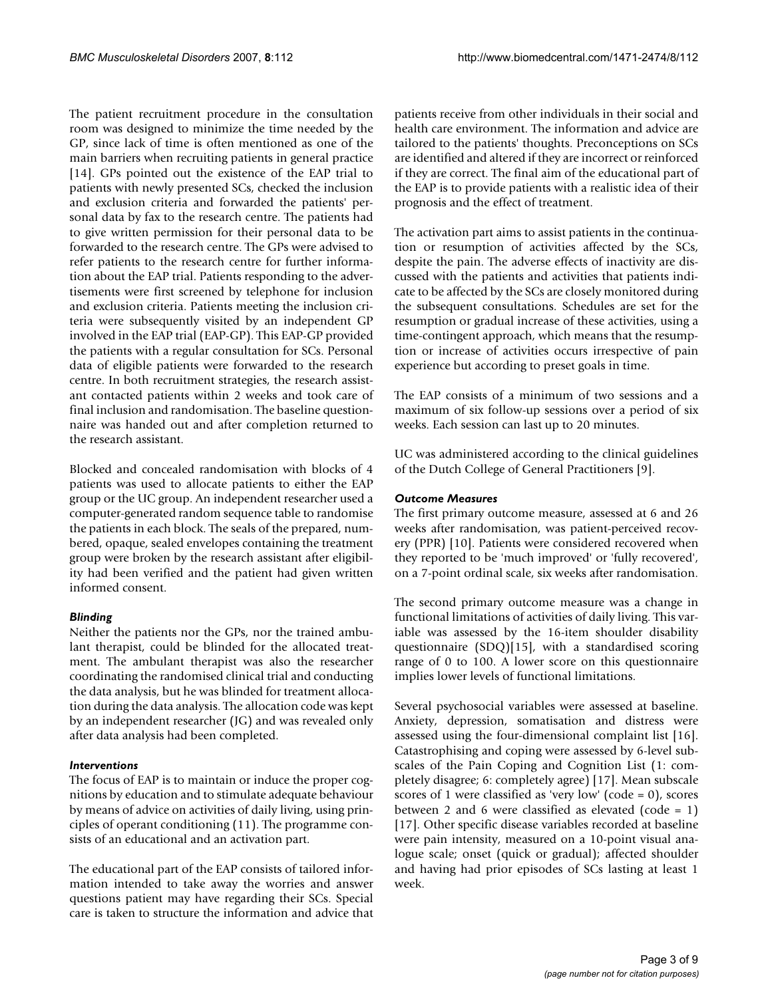The patient recruitment procedure in the consultation room was designed to minimize the time needed by the GP, since lack of time is often mentioned as one of the main barriers when recruiting patients in general practice [14]. GPs pointed out the existence of the EAP trial to patients with newly presented SCs, checked the inclusion and exclusion criteria and forwarded the patients' personal data by fax to the research centre. The patients had to give written permission for their personal data to be forwarded to the research centre. The GPs were advised to refer patients to the research centre for further information about the EAP trial. Patients responding to the advertisements were first screened by telephone for inclusion and exclusion criteria. Patients meeting the inclusion criteria were subsequently visited by an independent GP involved in the EAP trial (EAP-GP). This EAP-GP provided the patients with a regular consultation for SCs. Personal data of eligible patients were forwarded to the research centre. In both recruitment strategies, the research assistant contacted patients within 2 weeks and took care of final inclusion and randomisation. The baseline questionnaire was handed out and after completion returned to the research assistant.

Blocked and concealed randomisation with blocks of 4 patients was used to allocate patients to either the EAP group or the UC group. An independent researcher used a computer-generated random sequence table to randomise the patients in each block. The seals of the prepared, numbered, opaque, sealed envelopes containing the treatment group were broken by the research assistant after eligibility had been verified and the patient had given written informed consent.

### *Blinding*

Neither the patients nor the GPs, nor the trained ambulant therapist, could be blinded for the allocated treatment. The ambulant therapist was also the researcher coordinating the randomised clinical trial and conducting the data analysis, but he was blinded for treatment allocation during the data analysis. The allocation code was kept by an independent researcher (JG) and was revealed only after data analysis had been completed.

### *Interventions*

The focus of EAP is to maintain or induce the proper cognitions by education and to stimulate adequate behaviour by means of advice on activities of daily living, using principles of operant conditioning (11). The programme consists of an educational and an activation part.

The educational part of the EAP consists of tailored information intended to take away the worries and answer questions patient may have regarding their SCs. Special care is taken to structure the information and advice that patients receive from other individuals in their social and health care environment. The information and advice are tailored to the patients' thoughts. Preconceptions on SCs are identified and altered if they are incorrect or reinforced if they are correct. The final aim of the educational part of the EAP is to provide patients with a realistic idea of their prognosis and the effect of treatment.

The activation part aims to assist patients in the continuation or resumption of activities affected by the SCs, despite the pain. The adverse effects of inactivity are discussed with the patients and activities that patients indicate to be affected by the SCs are closely monitored during the subsequent consultations. Schedules are set for the resumption or gradual increase of these activities, using a time-contingent approach, which means that the resumption or increase of activities occurs irrespective of pain experience but according to preset goals in time.

The EAP consists of a minimum of two sessions and a maximum of six follow-up sessions over a period of six weeks. Each session can last up to 20 minutes.

UC was administered according to the clinical guidelines of the Dutch College of General Practitioners [9].

### *Outcome Measures*

The first primary outcome measure, assessed at 6 and 26 weeks after randomisation, was patient-perceived recovery (PPR) [10]. Patients were considered recovered when they reported to be 'much improved' or 'fully recovered', on a 7-point ordinal scale, six weeks after randomisation.

The second primary outcome measure was a change in functional limitations of activities of daily living. This variable was assessed by the 16-item shoulder disability questionnaire (SDQ)[15], with a standardised scoring range of 0 to 100. A lower score on this questionnaire implies lower levels of functional limitations.

Several psychosocial variables were assessed at baseline. Anxiety, depression, somatisation and distress were assessed using the four-dimensional complaint list [16]. Catastrophising and coping were assessed by 6-level subscales of the Pain Coping and Cognition List (1: completely disagree; 6: completely agree) [17]. Mean subscale scores of 1 were classified as 'very low' (code =  $0$ ), scores between 2 and 6 were classified as elevated (code =  $1$ ) [17]. Other specific disease variables recorded at baseline were pain intensity, measured on a 10-point visual analogue scale; onset (quick or gradual); affected shoulder and having had prior episodes of SCs lasting at least 1 week.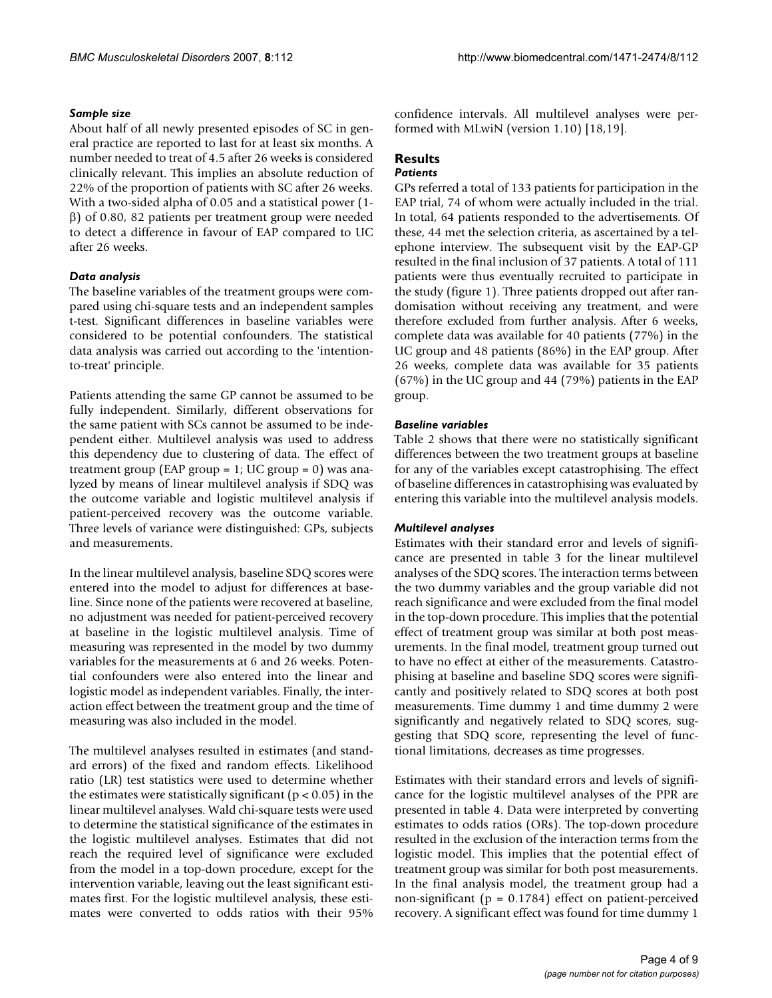### *Sample size*

About half of all newly presented episodes of SC in general practice are reported to last for at least six months. A number needed to treat of 4.5 after 26 weeks is considered clinically relevant. This implies an absolute reduction of 22% of the proportion of patients with SC after 26 weeks. With a two-sided alpha of 0.05 and a statistical power (1 β) of 0.80, 82 patients per treatment group were needed to detect a difference in favour of EAP compared to UC after 26 weeks.

### *Data analysis*

The baseline variables of the treatment groups were compared using chi-square tests and an independent samples t-test. Significant differences in baseline variables were considered to be potential confounders. The statistical data analysis was carried out according to the 'intentionto-treat' principle.

Patients attending the same GP cannot be assumed to be fully independent. Similarly, different observations for the same patient with SCs cannot be assumed to be independent either. Multilevel analysis was used to address this dependency due to clustering of data. The effect of treatment group (EAP group =  $1$ ; UC group = 0) was analyzed by means of linear multilevel analysis if SDQ was the outcome variable and logistic multilevel analysis if patient-perceived recovery was the outcome variable. Three levels of variance were distinguished: GPs, subjects and measurements.

In the linear multilevel analysis, baseline SDQ scores were entered into the model to adjust for differences at baseline. Since none of the patients were recovered at baseline, no adjustment was needed for patient-perceived recovery at baseline in the logistic multilevel analysis. Time of measuring was represented in the model by two dummy variables for the measurements at 6 and 26 weeks. Potential confounders were also entered into the linear and logistic model as independent variables. Finally, the interaction effect between the treatment group and the time of measuring was also included in the model.

The multilevel analyses resulted in estimates (and standard errors) of the fixed and random effects. Likelihood ratio (LR) test statistics were used to determine whether the estimates were statistically significant ( $p < 0.05$ ) in the linear multilevel analyses. Wald chi-square tests were used to determine the statistical significance of the estimates in the logistic multilevel analyses. Estimates that did not reach the required level of significance were excluded from the model in a top-down procedure, except for the intervention variable, leaving out the least significant estimates first. For the logistic multilevel analysis, these estimates were converted to odds ratios with their 95%

confidence intervals. All multilevel analyses were performed with MLwiN (version 1.10) [18,19].

## **Results**

# *Patients*

GPs referred a total of 133 patients for participation in the EAP trial, 74 of whom were actually included in the trial. In total, 64 patients responded to the advertisements. Of these, 44 met the selection criteria, as ascertained by a telephone interview. The subsequent visit by the EAP-GP resulted in the final inclusion of 37 patients. A total of 111 patients were thus eventually recruited to participate in the study (figure 1). Three patients dropped out after randomisation without receiving any treatment, and were therefore excluded from further analysis. After 6 weeks, complete data was available for 40 patients (77%) in the UC group and 48 patients (86%) in the EAP group. After 26 weeks, complete data was available for 35 patients (67%) in the UC group and 44 (79%) patients in the EAP group.

### *Baseline variables*

Table 2 shows that there were no statistically significant differences between the two treatment groups at baseline for any of the variables except catastrophising. The effect of baseline differences in catastrophising was evaluated by entering this variable into the multilevel analysis models.

### *Multilevel analyses*

Estimates with their standard error and levels of significance are presented in table 3 for the linear multilevel analyses of the SDQ scores. The interaction terms between the two dummy variables and the group variable did not reach significance and were excluded from the final model in the top-down procedure. This implies that the potential effect of treatment group was similar at both post measurements. In the final model, treatment group turned out to have no effect at either of the measurements. Catastrophising at baseline and baseline SDQ scores were significantly and positively related to SDQ scores at both post measurements. Time dummy 1 and time dummy 2 were significantly and negatively related to SDQ scores, suggesting that SDQ score, representing the level of functional limitations, decreases as time progresses.

Estimates with their standard errors and levels of significance for the logistic multilevel analyses of the PPR are presented in table 4. Data were interpreted by converting estimates to odds ratios (ORs). The top-down procedure resulted in the exclusion of the interaction terms from the logistic model. This implies that the potential effect of treatment group was similar for both post measurements. In the final analysis model, the treatment group had a non-significant (p = 0.1784) effect on patient-perceived recovery. A significant effect was found for time dummy 1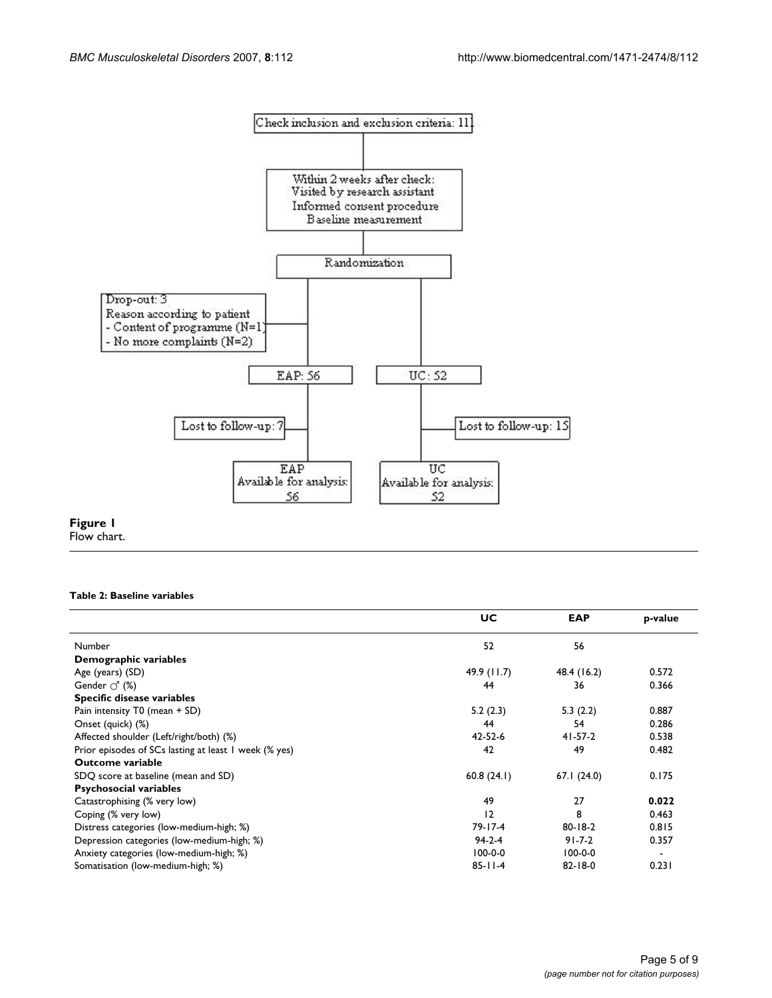

# Figure 1

Flow chart.

### **Table 2: Baseline variables**

|                                                       | <b>UC</b>     | <b>EAP</b>    | p-value                  |
|-------------------------------------------------------|---------------|---------------|--------------------------|
| Number                                                | 52            | 56            |                          |
| Demographic variables                                 |               |               |                          |
| Age (years) (SD)                                      | 49.9 (11.7)   | 48.4 (16.2)   | 0.572                    |
| Gender $\circlearrowleft$ (%)                         | 44            | 36            | 0.366                    |
| Specific disease variables                            |               |               |                          |
| Pain intensity T0 (mean + SD)                         | 5.2(2.3)      | 5.3(2.2)      | 0.887                    |
| Onset (quick) (%)                                     | 44            | 54            | 0.286                    |
| Affected shoulder (Left/right/both) (%)               | $42 - 52 - 6$ | $41 - 57 - 2$ | 0.538                    |
| Prior episodes of SCs lasting at least 1 week (% yes) | 42            | 49            | 0.482                    |
| <b>Outcome variable</b>                               |               |               |                          |
| SDQ score at baseline (mean and SD)                   | 60.8(24.1)    | 67.1(24.0)    | 0.175                    |
| <b>Psychosocial variables</b>                         |               |               |                          |
| Catastrophising (% very low)                          | 49            | 27            | 0.022                    |
| Coping (% very low)                                   | 12            | 8             | 0.463                    |
| Distress categories (low-medium-high; %)              | $79 - 17 - 4$ | $80 - 18 - 2$ | 0.815                    |
| Depression categories (low-medium-high; %)            | $94 - 2 - 4$  | $91 - 7 - 2$  | 0.357                    |
| Anxiety categories (low-medium-high; %)               | $100 - 0 - 0$ | $100 - 0 - 0$ | $\overline{\phantom{a}}$ |
| Somatisation (low-medium-high; %)                     | $85 - 11 - 4$ | $82 - 18 - 0$ | 0.231                    |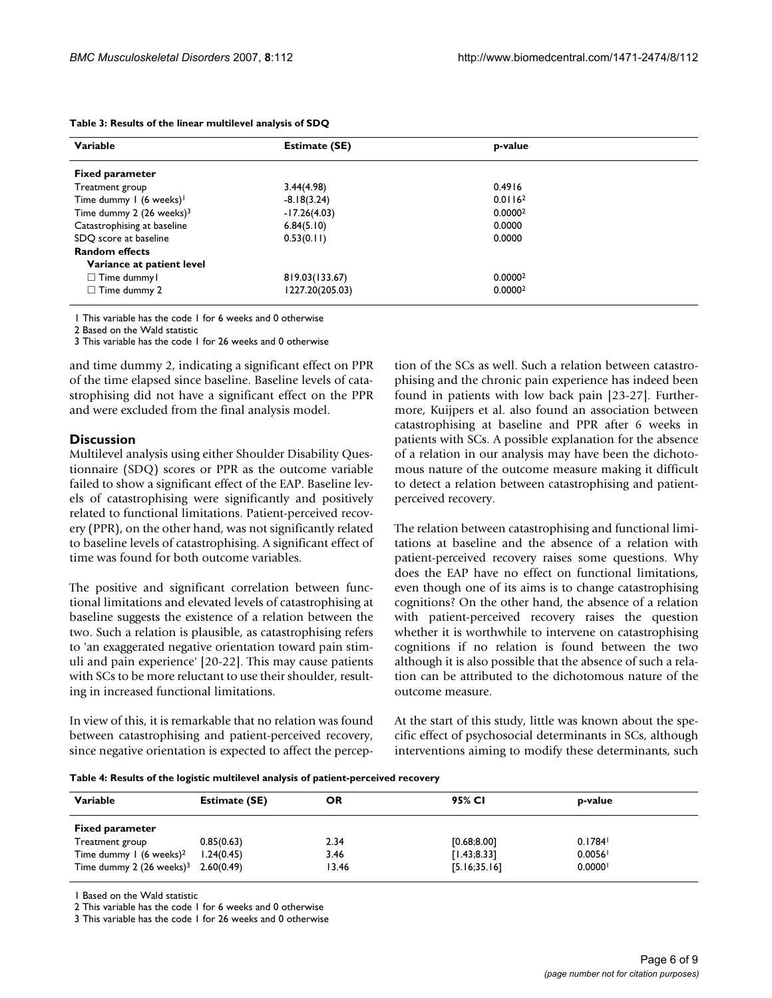| Variable                               | <b>Estimate (SE)</b> | p-value |
|----------------------------------------|----------------------|---------|
|                                        |                      |         |
| <b>Fixed parameter</b>                 |                      |         |
| Treatment group                        | 3.44(4.98)           | 0.4916  |
| Time dummy 1 (6 weeks) <sup>1</sup>    | $-8.18(3.24)$        | 0.01162 |
| Time dummy 2 $(26$ weeks) <sup>3</sup> | $-17.26(4.03)$       | 0.00002 |
| Catastrophising at baseline            | 6.84(5.10)           | 0.0000  |
| SDQ score at baseline                  | 0.53(0.11)           | 0.0000  |
| <b>Random effects</b>                  |                      |         |
| Variance at patient level              |                      |         |
| $\Box$ Time dummy I                    | 819.03(133.67)       | 0.00002 |
| $\Box$ Time dummy 2                    | 1227.20(205.03)      | 0.00002 |
|                                        |                      |         |

### **Table 3: Results of the linear multilevel analysis of SDQ**

1 This variable has the code 1 for 6 weeks and 0 otherwise

2 Based on the Wald statistic

3 This variable has the code 1 for 26 weeks and 0 otherwise

and time dummy 2, indicating a significant effect on PPR of the time elapsed since baseline. Baseline levels of catastrophising did not have a significant effect on the PPR and were excluded from the final analysis model.

### **Discussion**

Multilevel analysis using either Shoulder Disability Questionnaire (SDQ) scores or PPR as the outcome variable failed to show a significant effect of the EAP. Baseline levels of catastrophising were significantly and positively related to functional limitations. Patient-perceived recovery (PPR), on the other hand, was not significantly related to baseline levels of catastrophising. A significant effect of time was found for both outcome variables.

The positive and significant correlation between functional limitations and elevated levels of catastrophising at baseline suggests the existence of a relation between the two. Such a relation is plausible, as catastrophising refers to 'an exaggerated negative orientation toward pain stimuli and pain experience' [20-22]. This may cause patients with SCs to be more reluctant to use their shoulder, resulting in increased functional limitations.

In view of this, it is remarkable that no relation was found between catastrophising and patient-perceived recovery, since negative orientation is expected to affect the perception of the SCs as well. Such a relation between catastrophising and the chronic pain experience has indeed been found in patients with low back pain [23-27]. Furthermore, Kuijpers et al. also found an association between catastrophising at baseline and PPR after 6 weeks in patients with SCs. A possible explanation for the absence of a relation in our analysis may have been the dichotomous nature of the outcome measure making it difficult to detect a relation between catastrophising and patientperceived recovery.

The relation between catastrophising and functional limitations at baseline and the absence of a relation with patient-perceived recovery raises some questions. Why does the EAP have no effect on functional limitations, even though one of its aims is to change catastrophising cognitions? On the other hand, the absence of a relation with patient-perceived recovery raises the question whether it is worthwhile to intervene on catastrophising cognitions if no relation is found between the two although it is also possible that the absence of such a relation can be attributed to the dichotomous nature of the outcome measure.

At the start of this study, little was known about the specific effect of psychosocial determinants in SCs, although interventions aiming to modify these determinants, such

| Variable                                                                    | <b>Estimate (SE)</b>     | OR            | 95% CI                        | p-value          |  |
|-----------------------------------------------------------------------------|--------------------------|---------------|-------------------------------|------------------|--|
| <b>Fixed parameter</b><br>Treatment group                                   | 0.85(0.63)               | 2.34          | [0.68; 8.00]                  | 0.1784           |  |
| Time dummy $1$ (6 weeks) <sup>2</sup><br>Time dummy $2(26 \text{ weeks})^3$ | 1.24(0.45)<br>2.60(0.49) | 3.46<br>13.46 | [1.43; 8.33]<br>[5.16; 35.16] | 0.0056<br>0.0000 |  |

1 Based on the Wald statistic

2 This variable has the code 1 for 6 weeks and 0 otherwise

3 This variable has the code 1 for 26 weeks and 0 otherwise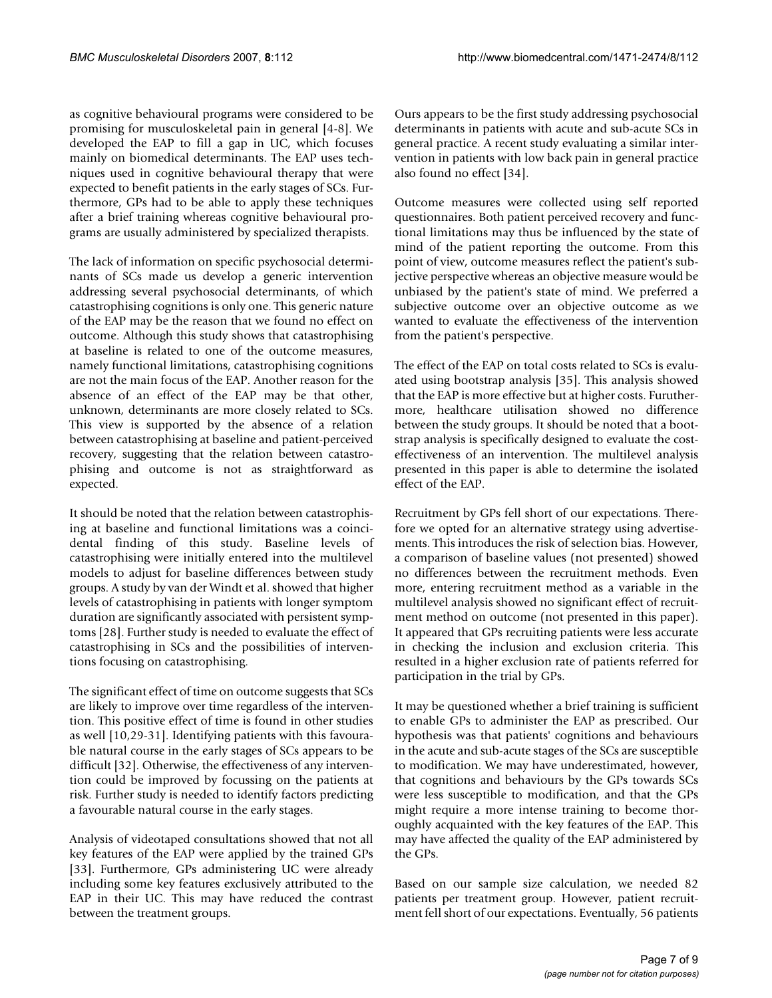as cognitive behavioural programs were considered to be promising for musculoskeletal pain in general [4-8]. We developed the EAP to fill a gap in UC, which focuses mainly on biomedical determinants. The EAP uses techniques used in cognitive behavioural therapy that were expected to benefit patients in the early stages of SCs. Furthermore, GPs had to be able to apply these techniques after a brief training whereas cognitive behavioural programs are usually administered by specialized therapists.

The lack of information on specific psychosocial determinants of SCs made us develop a generic intervention addressing several psychosocial determinants, of which catastrophising cognitions is only one. This generic nature of the EAP may be the reason that we found no effect on outcome. Although this study shows that catastrophising at baseline is related to one of the outcome measures, namely functional limitations, catastrophising cognitions are not the main focus of the EAP. Another reason for the absence of an effect of the EAP may be that other, unknown, determinants are more closely related to SCs. This view is supported by the absence of a relation between catastrophising at baseline and patient-perceived recovery, suggesting that the relation between catastrophising and outcome is not as straightforward as expected.

It should be noted that the relation between catastrophising at baseline and functional limitations was a coincidental finding of this study. Baseline levels of catastrophising were initially entered into the multilevel models to adjust for baseline differences between study groups. A study by van der Windt et al. showed that higher levels of catastrophising in patients with longer symptom duration are significantly associated with persistent symptoms [28]. Further study is needed to evaluate the effect of catastrophising in SCs and the possibilities of interventions focusing on catastrophising.

The significant effect of time on outcome suggests that SCs are likely to improve over time regardless of the intervention. This positive effect of time is found in other studies as well [10,29-31]. Identifying patients with this favourable natural course in the early stages of SCs appears to be difficult [32]. Otherwise, the effectiveness of any intervention could be improved by focussing on the patients at risk. Further study is needed to identify factors predicting a favourable natural course in the early stages.

Analysis of videotaped consultations showed that not all key features of the EAP were applied by the trained GPs [33]. Furthermore, GPs administering UC were already including some key features exclusively attributed to the EAP in their UC. This may have reduced the contrast between the treatment groups.

Ours appears to be the first study addressing psychosocial determinants in patients with acute and sub-acute SCs in general practice. A recent study evaluating a similar intervention in patients with low back pain in general practice also found no effect [34].

Outcome measures were collected using self reported questionnaires. Both patient perceived recovery and functional limitations may thus be influenced by the state of mind of the patient reporting the outcome. From this point of view, outcome measures reflect the patient's subjective perspective whereas an objective measure would be unbiased by the patient's state of mind. We preferred a subjective outcome over an objective outcome as we wanted to evaluate the effectiveness of the intervention from the patient's perspective.

The effect of the EAP on total costs related to SCs is evaluated using bootstrap analysis [35]. This analysis showed that the EAP is more effective but at higher costs. Furuthermore, healthcare utilisation showed no difference between the study groups. It should be noted that a bootstrap analysis is specifically designed to evaluate the costeffectiveness of an intervention. The multilevel analysis presented in this paper is able to determine the isolated effect of the EAP.

Recruitment by GPs fell short of our expectations. Therefore we opted for an alternative strategy using advertisements. This introduces the risk of selection bias. However, a comparison of baseline values (not presented) showed no differences between the recruitment methods. Even more, entering recruitment method as a variable in the multilevel analysis showed no significant effect of recruitment method on outcome (not presented in this paper). It appeared that GPs recruiting patients were less accurate in checking the inclusion and exclusion criteria. This resulted in a higher exclusion rate of patients referred for participation in the trial by GPs.

It may be questioned whether a brief training is sufficient to enable GPs to administer the EAP as prescribed. Our hypothesis was that patients' cognitions and behaviours in the acute and sub-acute stages of the SCs are susceptible to modification. We may have underestimated, however, that cognitions and behaviours by the GPs towards SCs were less susceptible to modification, and that the GPs might require a more intense training to become thoroughly acquainted with the key features of the EAP. This may have affected the quality of the EAP administered by the GPs.

Based on our sample size calculation, we needed 82 patients per treatment group. However, patient recruitment fell short of our expectations. Eventually, 56 patients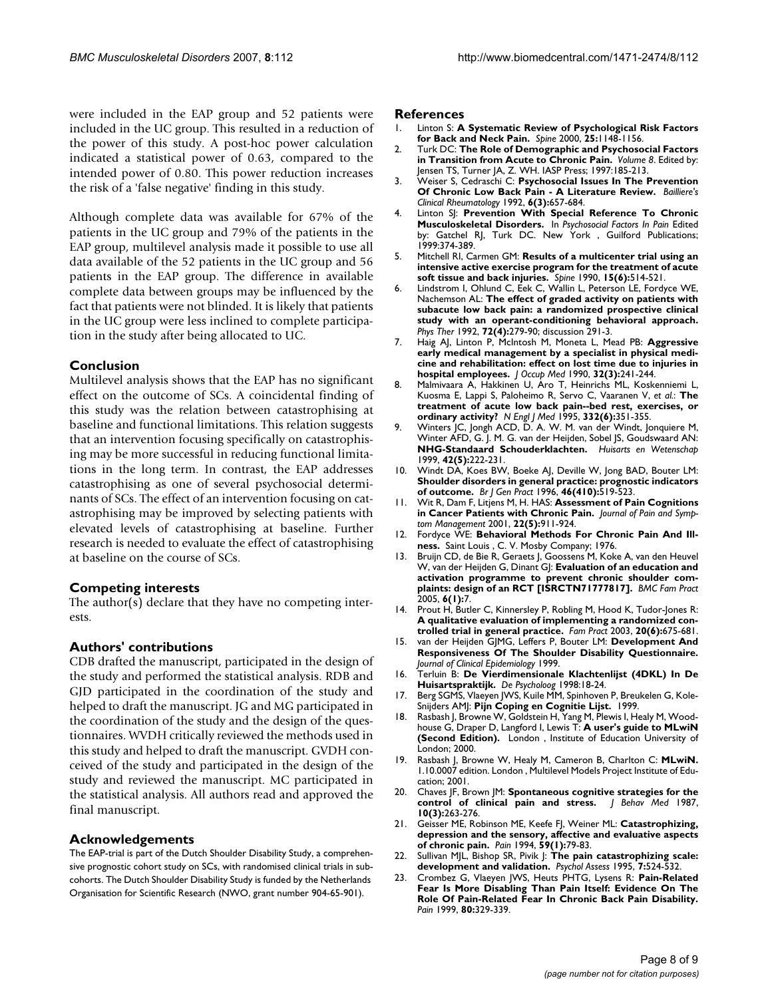were included in the EAP group and 52 patients were included in the UC group. This resulted in a reduction of the power of this study. A post-hoc power calculation indicated a statistical power of 0.63, compared to the intended power of 0.80. This power reduction increases the risk of a 'false negative' finding in this study.

Although complete data was available for 67% of the patients in the UC group and 79% of the patients in the EAP group, multilevel analysis made it possible to use all data available of the 52 patients in the UC group and 56 patients in the EAP group. The difference in available complete data between groups may be influenced by the fact that patients were not blinded. It is likely that patients in the UC group were less inclined to complete participation in the study after being allocated to UC.

### **Conclusion**

Multilevel analysis shows that the EAP has no significant effect on the outcome of SCs. A coincidental finding of this study was the relation between catastrophising at baseline and functional limitations. This relation suggests that an intervention focusing specifically on catastrophising may be more successful in reducing functional limitations in the long term. In contrast, the EAP addresses catastrophising as one of several psychosocial determinants of SCs. The effect of an intervention focusing on catastrophising may be improved by selecting patients with elevated levels of catastrophising at baseline. Further research is needed to evaluate the effect of catastrophising at baseline on the course of SCs.

### **Competing interests**

The author(s) declare that they have no competing interests.

### **Authors' contributions**

CDB drafted the manuscript, participated in the design of the study and performed the statistical analysis. RDB and GJD participated in the coordination of the study and helped to draft the manuscript. JG and MG participated in the coordination of the study and the design of the questionnaires. WVDH critically reviewed the methods used in this study and helped to draft the manuscript. GVDH conceived of the study and participated in the design of the study and reviewed the manuscript. MC participated in the statistical analysis. All authors read and approved the final manuscript.

### **Acknowledgements**

The EAP-trial is part of the Dutch Shoulder Disability Study, a comprehensive prognostic cohort study on SCs, with randomised clinical trials in subcohorts. The Dutch Shoulder Disability Study is funded by the Netherlands Organisation for Scientific Research (NWO, grant number 904-65-901).

### **References**

- 1. Linton S: **[A Systematic Review of Psychological Risk Factors](http://www.ncbi.nlm.nih.gov/entrez/query.fcgi?cmd=Retrieve&db=PubMed&dopt=Abstract&list_uids=10788861) [for Back and Neck Pain.](http://www.ncbi.nlm.nih.gov/entrez/query.fcgi?cmd=Retrieve&db=PubMed&dopt=Abstract&list_uids=10788861)** *Spine* 2000, **25:**1148-1156.
- 2. Turk DC: **The Role of Demographic and Psychosocial Factors in Transition from Acute to Chronic Pain.** *Volume 8*. Edited by: Jensen TS, Turner JA, Z. WH. IASP Press; 1997:185-213.
- 3. Weiser S, Cedraschi C: **[Psychosocial Issues In The Prevention](http://www.ncbi.nlm.nih.gov/entrez/query.fcgi?cmd=Retrieve&db=PubMed&dopt=Abstract&list_uids=1477896) [Of Chronic Low Back Pain - A Literature Review.](http://www.ncbi.nlm.nih.gov/entrez/query.fcgi?cmd=Retrieve&db=PubMed&dopt=Abstract&list_uids=1477896)** *Bailliere's Clinical Rheumatology* 1992, **6(3):**657-684.
- 4. Linton SJ: **Prevention With Special Reference To Chronic Musculoskeletal Disorders.** In *Psychosocial Factors In Pain* Edited by: Gatchel RJ, Turk DC. New York , Guilford Publications; 1999:374-389.
- 5. Mitchell RI, Carmen GM: **[Results of a multicenter trial using an](http://www.ncbi.nlm.nih.gov/entrez/query.fcgi?cmd=Retrieve&db=PubMed&dopt=Abstract&list_uids=2144916) [intensive active exercise program for the treatment of acute](http://www.ncbi.nlm.nih.gov/entrez/query.fcgi?cmd=Retrieve&db=PubMed&dopt=Abstract&list_uids=2144916) [soft tissue and back injuries.](http://www.ncbi.nlm.nih.gov/entrez/query.fcgi?cmd=Retrieve&db=PubMed&dopt=Abstract&list_uids=2144916)** *Spine* 1990, **15(6):**514-521.
- 6. Lindstrom I, Ohlund C, Eek C, Wallin L, Peterson LE, Fordyce WE, Nachemson AL: **[The effect of graded activity on patients with](http://www.ncbi.nlm.nih.gov/entrez/query.fcgi?cmd=Retrieve&db=PubMed&dopt=Abstract&list_uids=1533941) subacute low back pain: a randomized prospective clinical [study with an operant-conditioning behavioral approach.](http://www.ncbi.nlm.nih.gov/entrez/query.fcgi?cmd=Retrieve&db=PubMed&dopt=Abstract&list_uids=1533941)** *Phys Ther* 1992, **72(4):**279-90; discussion 291-3.
- 7. Haig AJ, Linton P, McIntosh M, Moneta L, Mead PB: **[Aggressive](http://www.ncbi.nlm.nih.gov/entrez/query.fcgi?cmd=Retrieve&db=PubMed&dopt=Abstract&list_uids=2138664) early medical management by a specialist in physical medi[cine and rehabilitation: effect on lost time due to injuries in](http://www.ncbi.nlm.nih.gov/entrez/query.fcgi?cmd=Retrieve&db=PubMed&dopt=Abstract&list_uids=2138664) [hospital employees.](http://www.ncbi.nlm.nih.gov/entrez/query.fcgi?cmd=Retrieve&db=PubMed&dopt=Abstract&list_uids=2138664)** *J Occup Med* 1990, **32(3):**241-244.
- 8. Malmivaara A, Hakkinen U, Aro T, Heinrichs ML, Koskenniemi L, Kuosma E, Lappi S, Paloheimo R, Servo C, Vaaranen V, *et al.*: **[The](http://www.ncbi.nlm.nih.gov/entrez/query.fcgi?cmd=Retrieve&db=PubMed&dopt=Abstract&list_uids=7823996) [treatment of acute low back pain--bed rest, exercises, or](http://www.ncbi.nlm.nih.gov/entrez/query.fcgi?cmd=Retrieve&db=PubMed&dopt=Abstract&list_uids=7823996) [ordinary activity?](http://www.ncbi.nlm.nih.gov/entrez/query.fcgi?cmd=Retrieve&db=PubMed&dopt=Abstract&list_uids=7823996)** *N Engl J Med* 1995, **332(6):**351-355.
- 9. Winters JC, Jongh ACD, D. A. W. M. van der Windt, Jonquiere M, Winter AFD, G. J. M. G. van der Heijden, Sobel JS, Goudswaard AN: **NHG-Standaard Schouderklachten.** *Huisarts en Wetenschap* 1999, **42(5):**222-231.
- 10. Windt DA, Koes BW, Boeke AJ, Deville W, Jong BAD, Bouter LM: **[Shoulder disorders in general practice: prognostic indicators](http://www.ncbi.nlm.nih.gov/entrez/query.fcgi?cmd=Retrieve&db=PubMed&dopt=Abstract&list_uids=8917870) [of outcome.](http://www.ncbi.nlm.nih.gov/entrez/query.fcgi?cmd=Retrieve&db=PubMed&dopt=Abstract&list_uids=8917870)** *Br J Gen Pract* 1996, **46(410):**519-523.
- 11. Wit R, Dam F, Litjens M, H. HAS: **Assessment of Pain Cognitions in Cancer Patients with Chronic Pain.** *Journal of Pain and Symptom Management* 2001, **22(5):**911-924.
- 12. Fordyce WE: **[Behavioral Methods For Chronic Pain And Ill](http://www.ncbi.nlm.nih.gov/entrez/query.fcgi?cmd=Retrieve&db=PubMed&dopt=Abstract&list_uids=1063343)[ness.](http://www.ncbi.nlm.nih.gov/entrez/query.fcgi?cmd=Retrieve&db=PubMed&dopt=Abstract&list_uids=1063343)** Saint Louis , C. V. Mosby Company; 1976.
- 13. Bruijn CD, de Bie R, Geraets J, Goossens M, Koke A, van den Heuvel W, van der Heijden G, Dinant GJ: **[Evaluation of an education and](http://www.ncbi.nlm.nih.gov/entrez/query.fcgi?cmd=Retrieve&db=PubMed&dopt=Abstract&list_uids=15715914) [activation programme to prevent chronic shoulder com](http://www.ncbi.nlm.nih.gov/entrez/query.fcgi?cmd=Retrieve&db=PubMed&dopt=Abstract&list_uids=15715914)[plaints: design of an RCT \[ISRCTN71777817\].](http://www.ncbi.nlm.nih.gov/entrez/query.fcgi?cmd=Retrieve&db=PubMed&dopt=Abstract&list_uids=15715914)** *BMC Fam Pract* 2005, **6(1):**7.
- 14. Prout H, Butler C, Kinnersley P, Robling M, Hood K, Tudor-Jones R: **[A qualitative evaluation of implementing a randomized con](http://www.ncbi.nlm.nih.gov/entrez/query.fcgi?cmd=Retrieve&db=PubMed&dopt=Abstract&list_uids=14701891)[trolled trial in general practice.](http://www.ncbi.nlm.nih.gov/entrez/query.fcgi?cmd=Retrieve&db=PubMed&dopt=Abstract&list_uids=14701891)** *Fam Pract* 2003, **20(6):**675-681.
- 15. van der Heijden GJMG, Leffers P, Bouter LM: **Development And Responsiveness Of The Shoulder Disability Questionnaire.** *Journal of Clinical Epidemiology* 1999.
- 16. Terluin B: **De Vierdimensionale Klachtenlijst (4DKL) In De Huisartspraktijk.** *De Psycholoog* 1998:18-24.
- 17. Berg SGMS, Vlaeyen JWS, Kuile MM, Spinhoven P, Breukelen G, Kole-Snijders AMJ: **Pijn Coping en Cognitie Lijst.** 1999.
- 18. Rasbash J, Browne W, Goldstein H, Yang M, Plewis I, Healy M, Woodhouse G, Draper D, Langford I, Lewis T: **[A user's guide to MLwiN](http://www.ncbi.nlm.nih.gov/entrez/query.fcgi?cmd=Retrieve&db=PubMed&dopt=Abstract&list_uids=10960866) [\(Second Edition\).](http://www.ncbi.nlm.nih.gov/entrez/query.fcgi?cmd=Retrieve&db=PubMed&dopt=Abstract&list_uids=10960866)** London , Institute of Education University of London; 2000.
- 19. Rasbash J, Browne W, Healy M, Cameron B, Charlton C: **[MLwiN.](http://www.ncbi.nlm.nih.gov/entrez/query.fcgi?cmd=Retrieve&db=PubMed&dopt=Abstract&list_uids=11483471)** 1.10.0007 edition. London , Multilevel Models Project Institute of Education; 2001.
- 20. Chaves JF, Brown JM: **[Spontaneous cognitive strategies for the](http://www.ncbi.nlm.nih.gov/entrez/query.fcgi?cmd=Retrieve&db=PubMed&dopt=Abstract&list_uids=3612783) [control of clinical pain and stress.](http://www.ncbi.nlm.nih.gov/entrez/query.fcgi?cmd=Retrieve&db=PubMed&dopt=Abstract&list_uids=3612783)** *J Behav Med* 1987, **10(3):**263-276.
- 21. Geisser ME, Robinson ME, Keefe FJ, Weiner ML: **[Catastrophizing,](http://www.ncbi.nlm.nih.gov/entrez/query.fcgi?cmd=Retrieve&db=PubMed&dopt=Abstract&list_uids=7854806) [depression and the sensory, affective and evaluative aspects](http://www.ncbi.nlm.nih.gov/entrez/query.fcgi?cmd=Retrieve&db=PubMed&dopt=Abstract&list_uids=7854806) [of chronic pain.](http://www.ncbi.nlm.nih.gov/entrez/query.fcgi?cmd=Retrieve&db=PubMed&dopt=Abstract&list_uids=7854806)** *Pain* 1994, **59(1):**79-83.
- 22. Sullivan MJL, Bishop SR, Pivik J: **The pain catastrophizing scale: development and validation.** *Psychol Assess* 1995, **7:**524-532.
- 23. Crombez G, Vlaeyen JWS, Heuts PHTG, Lysens R: **[Pain-Related](http://www.ncbi.nlm.nih.gov/entrez/query.fcgi?cmd=Retrieve&db=PubMed&dopt=Abstract&list_uids=10204746) Fear Is More Disabling Than Pain Itself: Evidence On The [Role Of Pain-Related Fear In Chronic Back Pain Disability.](http://www.ncbi.nlm.nih.gov/entrez/query.fcgi?cmd=Retrieve&db=PubMed&dopt=Abstract&list_uids=10204746)** *Pain* 1999, **80:**329-339.